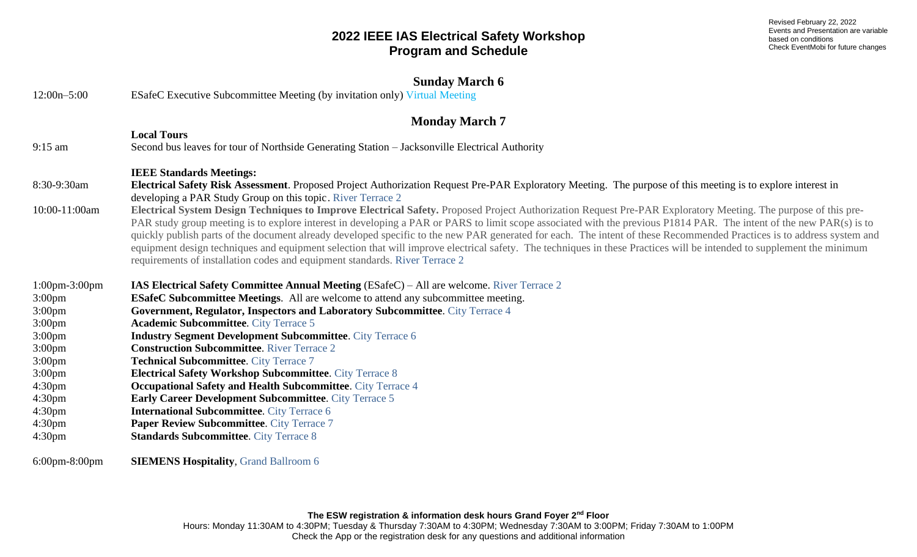Revised February 22, 2022 Events and Presentation are variable based on conditions Check EventMobi for future changes

| $12:00n - 5:00$                          | <b>Sunday March 6</b><br><b>ESafeC Executive Subcommittee Meeting (by invitation only) Virtual Meeting</b>                                                                                                                                                                                                                                                                                                                                                                                                                                                                                                                                                                                                                                                               |
|------------------------------------------|--------------------------------------------------------------------------------------------------------------------------------------------------------------------------------------------------------------------------------------------------------------------------------------------------------------------------------------------------------------------------------------------------------------------------------------------------------------------------------------------------------------------------------------------------------------------------------------------------------------------------------------------------------------------------------------------------------------------------------------------------------------------------|
| <b>Monday March 7</b>                    |                                                                                                                                                                                                                                                                                                                                                                                                                                                                                                                                                                                                                                                                                                                                                                          |
|                                          | <b>Local Tours</b>                                                                                                                                                                                                                                                                                                                                                                                                                                                                                                                                                                                                                                                                                                                                                       |
| $9:15$ am                                | Second bus leaves for tour of Northside Generating Station - Jacksonville Electrical Authority                                                                                                                                                                                                                                                                                                                                                                                                                                                                                                                                                                                                                                                                           |
|                                          | <b>IEEE Standards Meetings:</b>                                                                                                                                                                                                                                                                                                                                                                                                                                                                                                                                                                                                                                                                                                                                          |
| 8:30-9:30am                              | Electrical Safety Risk Assessment. Proposed Project Authorization Request Pre-PAR Exploratory Meeting. The purpose of this meeting is to explore interest in<br>developing a PAR Study Group on this topic. River Terrace 2                                                                                                                                                                                                                                                                                                                                                                                                                                                                                                                                              |
| 10:00-11:00am                            | Electrical System Design Techniques to Improve Electrical Safety. Proposed Project Authorization Request Pre-PAR Exploratory Meeting. The purpose of this pre-<br>PAR study group meeting is to explore interest in developing a PAR or PARS to limit scope associated with the previous P1814 PAR. The intent of the new PAR(s) is to<br>quickly publish parts of the document already developed specific to the new PAR generated for each. The intent of these Recommended Practices is to address system and<br>equipment design techniques and equipment selection that will improve electrical safety. The techniques in these Practices will be intended to supplement the minimum<br>requirements of installation codes and equipment standards. River Terrace 2 |
| $1:00$ pm $-3:00$ pm                     | IAS Electrical Safety Committee Annual Meeting (ESafeC) - All are welcome. River Terrace 2                                                                                                                                                                                                                                                                                                                                                                                                                                                                                                                                                                                                                                                                               |
| 3:00 <sub>pm</sub>                       | <b>ESafeC Subcommittee Meetings.</b> All are welcome to attend any subcommittee meeting.                                                                                                                                                                                                                                                                                                                                                                                                                                                                                                                                                                                                                                                                                 |
| $3:00 \text{pm}$                         | Government, Regulator, Inspectors and Laboratory Subcommittee. City Terrace 4                                                                                                                                                                                                                                                                                                                                                                                                                                                                                                                                                                                                                                                                                            |
| 3:00 <sub>pm</sub>                       | <b>Academic Subcommittee.</b> City Terrace 5                                                                                                                                                                                                                                                                                                                                                                                                                                                                                                                                                                                                                                                                                                                             |
| $3:00 \text{pm}$                         | <b>Industry Segment Development Subcommittee.</b> City Terrace 6                                                                                                                                                                                                                                                                                                                                                                                                                                                                                                                                                                                                                                                                                                         |
| $3:00 \text{pm}$                         | <b>Construction Subcommittee. River Terrace 2</b>                                                                                                                                                                                                                                                                                                                                                                                                                                                                                                                                                                                                                                                                                                                        |
| $3:00 \text{pm}$                         | <b>Technical Subcommittee.</b> City Terrace 7                                                                                                                                                                                                                                                                                                                                                                                                                                                                                                                                                                                                                                                                                                                            |
| 3:00 <sub>pm</sub>                       | <b>Electrical Safety Workshop Subcommittee. City Terrace 8</b>                                                                                                                                                                                                                                                                                                                                                                                                                                                                                                                                                                                                                                                                                                           |
| 4:30 <sub>pm</sub>                       | <b>Occupational Safety and Health Subcommittee.</b> City Terrace 4                                                                                                                                                                                                                                                                                                                                                                                                                                                                                                                                                                                                                                                                                                       |
| 4:30 <sub>pm</sub>                       | <b>Early Career Development Subcommittee. City Terrace 5</b>                                                                                                                                                                                                                                                                                                                                                                                                                                                                                                                                                                                                                                                                                                             |
| 4:30 <sub>pm</sub>                       | <b>International Subcommittee. City Terrace 6</b><br>Paper Review Subcommittee. City Terrace 7                                                                                                                                                                                                                                                                                                                                                                                                                                                                                                                                                                                                                                                                           |
| 4:30 <sub>pm</sub><br>4:30 <sub>pm</sub> | <b>Standards Subcommittee. City Terrace 8</b>                                                                                                                                                                                                                                                                                                                                                                                                                                                                                                                                                                                                                                                                                                                            |

6:00pm-8:00pm **SIEMENS Hospitality**, Grand Ballroom 6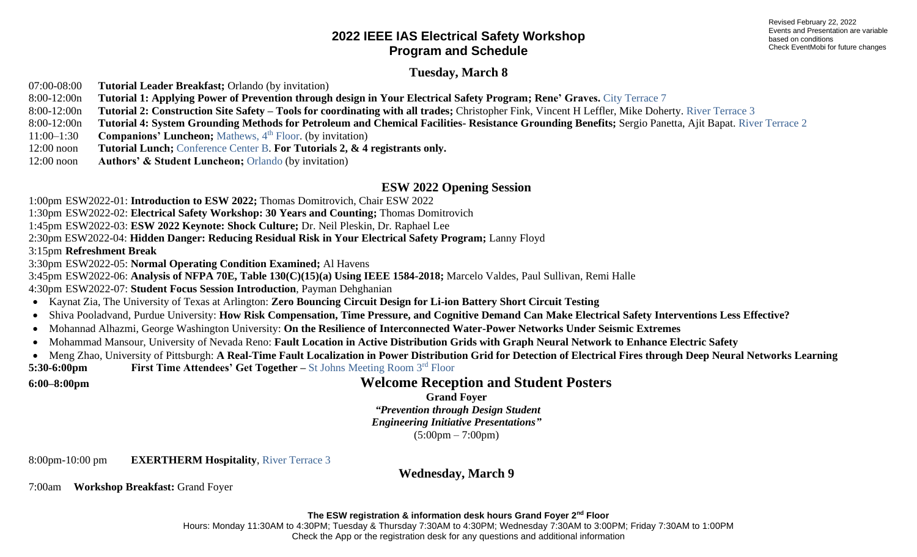#### **Tuesday, March 8**

07:00-08:00 **Tutorial Leader Breakfast;** Orlando (by invitation)

8:00-12:00n **Tutorial 1: Applying Power of Prevention through design in Your Electrical Safety Program; Rene' Graves.** City Terrace 7

8:00-12:00n **Tutorial 2: Construction Site Safety – Tools for coordinating with all trades;** Christopher Fink, Vincent H Leffler, Mike Doherty. River Terrace 3

8:00-12:00n **Tutorial 4: System Grounding Methods for Petroleum and Chemical Facilities- Resistance Grounding Benefits;** Sergio Panetta, Ajit Bapat. River Terrace 2

11:00–1:30 **Companions' Luncheon;** Mathews, 4<sup>th</sup> Floor. (by invitation)

12:00 noon **Tutorial Lunch;** Conference Center B. **For Tutorials 2, & 4 registrants only.**

12:00 noon **Authors' & Student Luncheon;** Orlando (by invitation)

#### **ESW 2022 Opening Session**

1:00pm ESW2022-01: **Introduction to ESW 2022;** Thomas Domitrovich, Chair ESW 2022

1:30pm ESW2022-02: **Electrical Safety Workshop: 30 Years and Counting;** Thomas Domitrovich

1:45pm ESW2022-03: **ESW 2022 Keynote: Shock Culture;** Dr. Neil Pleskin, Dr. Raphael Lee

2:30pm ESW2022-04: **Hidden Danger: Reducing Residual Risk in Your Electrical Safety Program;** Lanny Floyd

3:15pm **Refreshment Break**

3:30pm ESW2022-05: **Normal Operating Condition Examined;** Al Havens

3:45pm ESW2022-06: **Analysis of NFPA 70E, Table 130(C)(15)(a) Using IEEE 1584-2018;** Marcelo Valdes, Paul Sullivan, Remi Halle

4:30pm ESW2022-07: **Student Focus Session Introduction**, Payman Dehghanian

• Kaynat Zia, The University of Texas at Arlington: **Zero Bouncing Circuit Design for Li-ion Battery Short Circuit Testing**

• Shiva Pooladvand, Purdue University: **How Risk Compensation, Time Pressure, and Cognitive Demand Can Make Electrical Safety Interventions Less Effective?**

- Mohannad Alhazmi, George Washington University: **On the Resilience of Interconnected Water-Power Networks Under Seismic Extremes**
- Mohammad Mansour, University of Nevada Reno: **Fault Location in Active Distribution Grids with Graph Neural Network to Enhance Electric Safety**
- Meng Zhao, University of Pittsburgh: **A Real-Time Fault Localization in Power Distribution Grid for Detection of Electrical Fires through Deep Neural Networks Learning 5:30-6:00pm First Time Attendees' Get Together –** St Johns Meeting Room 3rd Floor

# **6:00–8:00pm Welcome Reception and Student Posters**

**Grand Foyer**

*"Prevention through Design Student*

*Engineering Initiative Presentations"*

(5:00pm – 7:00pm)

8:00pm-10:00 pm **EXERTHERM Hospitality**, River Terrace 3

**Wednesday, March 9**

7:00am **Workshop Breakfast:** Grand Foyer

**The ESW registration & information desk hours Grand Foyer 2 nd Floor**

Hours: Monday 11:30AM to 4:30PM; Tuesday & Thursday 7:30AM to 4:30PM; Wednesday 7:30AM to 3:00PM; Friday 7:30AM to 1:00PM Check the App or the registration desk for any questions and additional information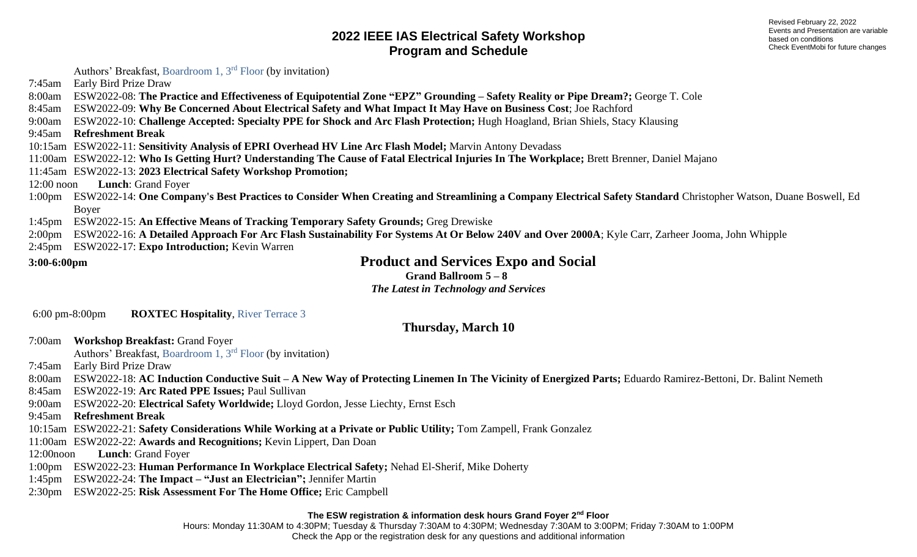Revised February 22, 2022 Events and Presentation are variable based on conditions Check EventMobi for future changes

Authors' Breakfast, Boardroom 1, 3rd Floor (by invitation)

7:45am Early Bird Prize Draw

8:00am ESW2022-08: **The Practice and Effectiveness of Equipotential Zone "EPZ" Grounding – Safety Reality or Pipe Dream?;** George T. Cole

8:45am ESW2022-09: **Why Be Concerned About Electrical Safety and What Impact It May Have on Business Cost**; Joe Rachford

9:00am ESW2022-10: **Challenge Accepted: Specialty PPE for Shock and Arc Flash Protection;** Hugh Hoagland, Brian Shiels, Stacy Klausing

9:45am **Refreshment Break**

10:15am ESW2022-11: **Sensitivity Analysis of EPRI Overhead HV Line Arc Flash Model;** Marvin Antony Devadass

11:00am ESW2022-12: **Who Is Getting Hurt? Understanding The Cause of Fatal Electrical Injuries In The Workplace;** Brett Brenner, Daniel Majano

11:45am ESW2022-13: **2023 Electrical Safety Workshop Promotion;**

12:00 noon **Lunch**: Grand Foyer

1:00pm ESW2022-14: **One Company's Best Practices to Consider When Creating and Streamlining a Company Electrical Safety Standard** Christopher Watson, Duane Boswell, Ed Boyer

1:45pm ESW2022-15: **An Effective Means of Tracking Temporary Safety Grounds;** Greg Drewiske

2:00pm ESW2022-16: **A Detailed Approach For Arc Flash Sustainability For Systems At Or Below 240V and Over 2000A**; Kyle Carr, Zarheer Jooma, John Whipple

2:45pm ESW2022-17: **Expo Introduction;** Kevin Warren

**3:00-6:00pm Product and Services Expo and Social**

**Grand Ballroom 5 – 8**

*The Latest in Technology and Services*

6:00 pm-8:00pm **ROXTEC Hospitality**, River Terrace 3

**Thursday, March 10**

7:00am **Workshop Breakfast:** Grand Foyer

Authors' Breakfast, Boardroom 1, 3rd Floor (by invitation)

7:45am Early Bird Prize Draw

8:00am ESW2022-18: **AC Induction Conductive Suit – A New Way of Protecting Linemen In The Vicinity of Energized Parts;** Eduardo Ramirez-Bettoni, Dr. Balint Nemeth

8:45am ESW2022-19: **Arc Rated PPE Issues;** Paul Sullivan

9:00am ESW2022-20: **Electrical Safety Worldwide;** Lloyd Gordon, Jesse Liechty, Ernst Esch

9:45am **Refreshment Break**

10:15am ESW2022-21: **Safety Considerations While Working at a Private or Public Utility;** Tom Zampell, Frank Gonzalez

11:00am ESW2022-22: **Awards and Recognitions;** Kevin Lippert, Dan Doan

12:00noon **Lunch**: Grand Foyer

1:00pm ESW2022-23: **Human Performance In Workplace Electrical Safety;** Nehad El-Sherif, Mike Doherty

1:45pm ESW2022-24: **The Impact – "Just an Electrician";** Jennifer Martin

2:30pm ESW2022-25: **Risk Assessment For The Home Office;** Eric Campbell

#### **The ESW registration & information desk hours Grand Foyer 2 nd Floor**

Hours: Monday 11:30AM to 4:30PM; Tuesday & Thursday 7:30AM to 4:30PM; Wednesday 7:30AM to 3:00PM; Friday 7:30AM to 1:00PM Check the App or the registration desk for any questions and additional information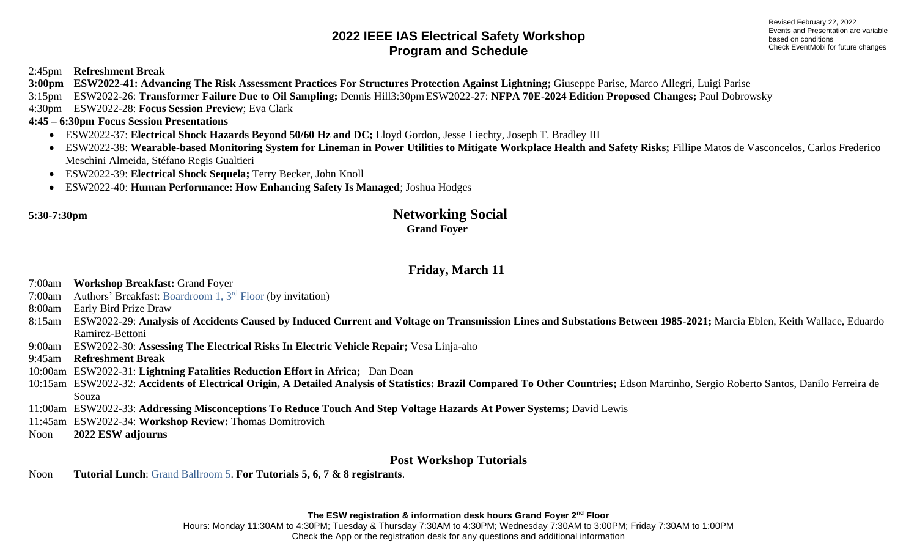2:45pm **Refreshment Break**

**3:00pm ESW2022-41: Advancing The Risk Assessment Practices For Structures Protection Against Lightning;** Giuseppe Parise, Marco Allegri, Luigi Parise

3:15pm ESW2022-26: **Transformer Failure Due to Oil Sampling;** Dennis Hill3:30pmESW2022-27: **NFPA 70E-2024 Edition Proposed Changes;** Paul Dobrowsky

4:30pm ESW2022-28: **Focus Session Preview**; Eva Clark

#### **4:45 – 6:30pm Focus Session Presentations**

- ESW2022-37: **Electrical Shock Hazards Beyond 50/60 Hz and DC;** Lloyd Gordon, Jesse Liechty, Joseph T. Bradley III
- ESW2022-38: **Wearable-based Monitoring System for Lineman in Power Utilities to Mitigate Workplace Health and Safety Risks;** Fillipe Matos de Vasconcelos, Carlos Frederico Meschini Almeida, Stéfano Regis Gualtieri
- ESW2022-39: **Electrical Shock Sequela;** Terry Becker, John Knoll
- ESW2022-40: **Human Performance: How Enhancing Safety Is Managed**; Joshua Hodges

#### **5:30-7:30pm Networking Social Grand Foyer**

# **Friday, March 11**

7:00am **Workshop Breakfast:** Grand Foyer

7:00am Authors' Breakfast: Boardroom 1, 3rd Floor (by invitation)

8:00am Early Bird Prize Draw

- 8:15am ESW2022-29: **Analysis of Accidents Caused by Induced Current and Voltage on Transmission Lines and Substations Between 1985-2021;** Marcia Eblen, Keith Wallace, Eduardo Ramirez-Bettoni
- 9:00am ESW2022-30: **Assessing The Electrical Risks In Electric Vehicle Repair;** Vesa Linja-aho

9:45am **Refreshment Break**

10:00am ESW2022-31: **Lightning Fatalities Reduction Effort in Africa;** Dan Doan

10:15am ESW2022-32: **Accidents of Electrical Origin, A Detailed Analysis of Statistics: Brazil Compared To Other Countries;** Edson Martinho, Sergio Roberto Santos, Danilo Ferreira de Souza

11:00am ESW2022-33: **Addressing Misconceptions To Reduce Touch And Step Voltage Hazards At Power Systems;** David Lewis

- 11:45am ESW2022-34: **Workshop Review:** Thomas Domitrovich
- Noon **2022 ESW adjourns**

# **Post Workshop Tutorials**

Noon **Tutorial Lunch**: Grand Ballroom 5. **For Tutorials 5, 6, 7 & 8 registrants**.

**The ESW registration & information desk hours Grand Foyer 2 nd Floor**

Hours: Monday 11:30AM to 4:30PM; Tuesday & Thursday 7:30AM to 4:30PM; Wednesday 7:30AM to 3:00PM; Friday 7:30AM to 1:00PM Check the App or the registration desk for any questions and additional information